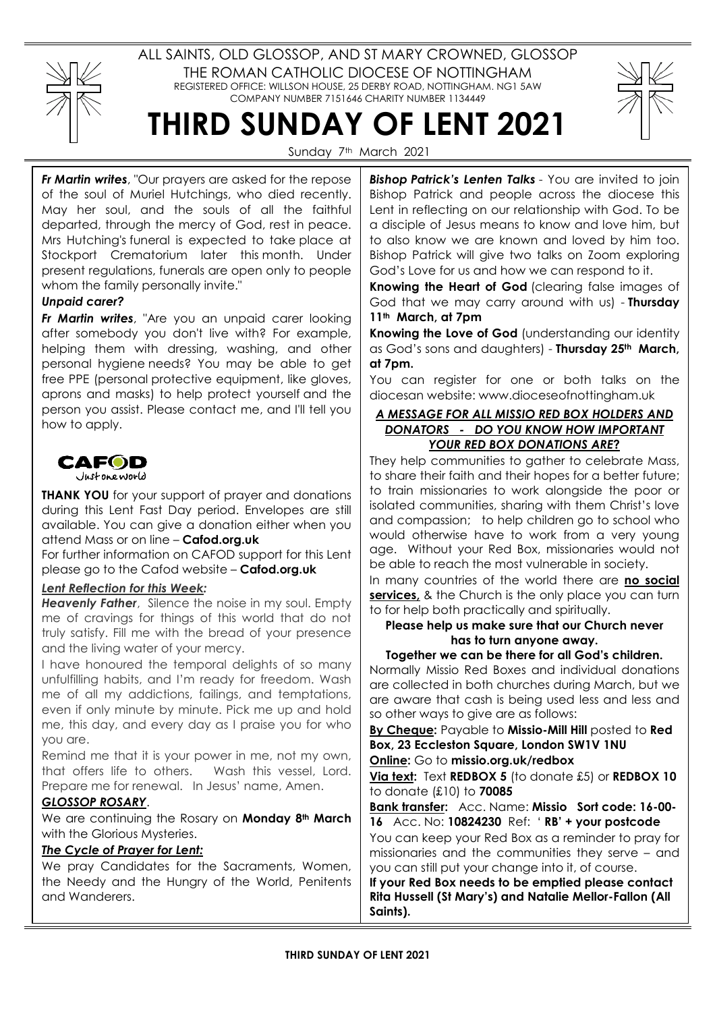

ALL SAINTS, OLD GLOSSOP, AND ST MARY CROWNED, GLOSSOP THE ROMAN CATHOLIC DIOCESE OF NOTTINGHAM REGISTERED OFFICE: WILLSON HOUSE, 25 DERBY ROAD, NOTTINGHAM. NG1 5AW COMPANY NUMBER 7151646 CHARITY NUMBER 1134449



Sunday 7<sup>th</sup> March 2021

THIRD SUNDAY OF LENT 2021

Fr Martin writes, "Our prayers are asked for the repose of the soul of Muriel Hutchings, who died recently. May her soul, and the souls of all the faithful departed, through the mercy of God, rest in peace. Mrs Hutching's funeral is expected to take place at Stockport Crematorium later this month. Under present regulations, funerals are open only to people whom the family personally invite."

# Unpaid carer?

Fr Martin writes, "Are you an unpaid carer looking after somebody you don't live with? For example, helping them with dressing, washing, and other personal hygiene needs? You may be able to get free PPE (personal protective equipment, like gloves, aprons and masks) to help protect yourself and the person you assist. Please contact me, and I'll tell you how to apply.



**THANK YOU** for your support of prayer and donations during this Lent Fast Day period. Envelopes are still available. You can give a donation either when you attend Mass or on line – Cafod.org.uk

For further information on CAFOD support for this Lent please go to the Cafod website – Cafod.org.uk

### Lent Reflection for this Week:

**Heavenly Father**, Silence the noise in my soul. Empty me of cravings for things of this world that do not truly satisfy. Fill me with the bread of your presence and the living water of your mercy.

I have honoured the temporal delights of so many unfulfilling habits, and I'm ready for freedom. Wash me of all my addictions, failings, and temptations, even if only minute by minute. Pick me up and hold me, this day, and every day as I praise you for who you are.

Remind me that it is your power in me, not my own, that offers life to others. Wash this vessel, Lord. Prepare me for renewal. In Jesus' name, Amen.

# GLOSSOP ROSARY.

We are continuing the Rosary on Monday 8th March with the Glorious Mysteries.

# The Cycle of Prayer for Lent:

We pray Candidates for the Sacraments, Women, the Needy and the Hungry of the World, Penitents and Wanderers.

**Bishop Patrick's Lenten Talks** - You are invited to join Bishop Patrick and people across the diocese this Lent in reflecting on our relationship with God. To be a disciple of Jesus means to know and love him, but to also know we are known and loved by him too. Bishop Patrick will give two talks on Zoom exploring God's Love for us and how we can respond to it.

Knowing the Heart of God (clearing false images of God that we may carry around with us) - Thursday 11<sup>th</sup> March, at 7pm

Knowing the Love of God (understanding our identity as God's sons and daughters) - Thursday 25<sup>th</sup> March, at 7pm.

You can register for one or both talks on the diocesan website: www.dioceseofnottingham.uk

### A MESSAGE FOR ALL MISSIO RED BOX HOLDERS AND DONATORS - DO YOU KNOW HOW IMPORTANT YOUR RED BOX DONATIONS ARE?

They help communities to gather to celebrate Mass, to share their faith and their hopes for a better future; to train missionaries to work alongside the poor or isolated communities, sharing with them Christ's love and compassion; to help children go to school who would otherwise have to work from a very young age. Without your Red Box, missionaries would not be able to reach the most vulnerable in society.

In many countries of the world there are no social services, & the Church is the only place you can turn to for help both practically and spiritually.

### Please help us make sure that our Church never has to turn anyone away.

Together we can be there for all God's children. Normally Missio Red Boxes and individual donations are collected in both churches during March, but we are aware that cash is being used less and less and so other ways to give are as follows:

By Cheque: Payable to Missio-Mill Hill posted to Red Box, 23 Eccleston Square, London SW1V 1NU

Online: Go to missio.org.uk/redbox

Via text: Text REDBOX 5 (to donate £5) or REDBOX 10 to donate (£10) to 70085

Bank transfer: Acc. Name: Missio Sort code: 16-00- 16 Acc. No: 10824230 Ref: ' RB' + your postcode You can keep your Red Box as a reminder to pray for

missionaries and the communities they serve – and you can still put your change into it, of course.

If your Red Box needs to be emptied please contact Rita Hussell (St Mary's) and Natalie Mellor-Fallon (All Saints).